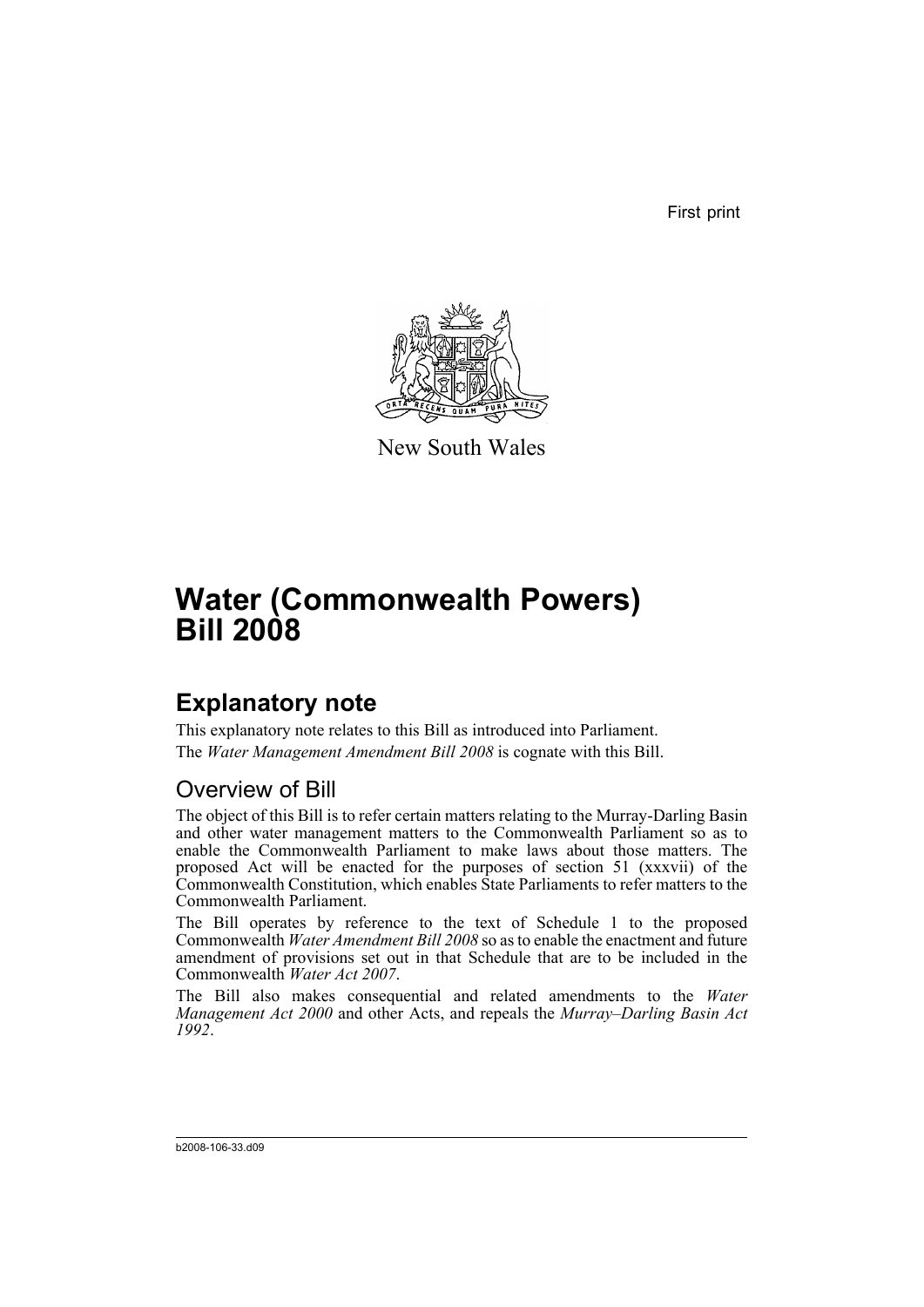First print



New South Wales

# **Water (Commonwealth Powers) Bill 2008**

## **Explanatory note**

This explanatory note relates to this Bill as introduced into Parliament. The *Water Management Amendment Bill 2008* is cognate with this Bill.

## Overview of Bill

The object of this Bill is to refer certain matters relating to the Murray-Darling Basin and other water management matters to the Commonwealth Parliament so as to enable the Commonwealth Parliament to make laws about those matters. The proposed Act will be enacted for the purposes of section 51 (xxxvii) of the Commonwealth Constitution, which enables State Parliaments to refer matters to the Commonwealth Parliament.

The Bill operates by reference to the text of Schedule 1 to the proposed Commonwealth *Water Amendment Bill 2008* so as to enable the enactment and future amendment of provisions set out in that Schedule that are to be included in the Commonwealth *Water Act 2007*.

The Bill also makes consequential and related amendments to the *Water Management Act 2000* and other Acts, and repeals the *Murray–Darling Basin Act 1992*.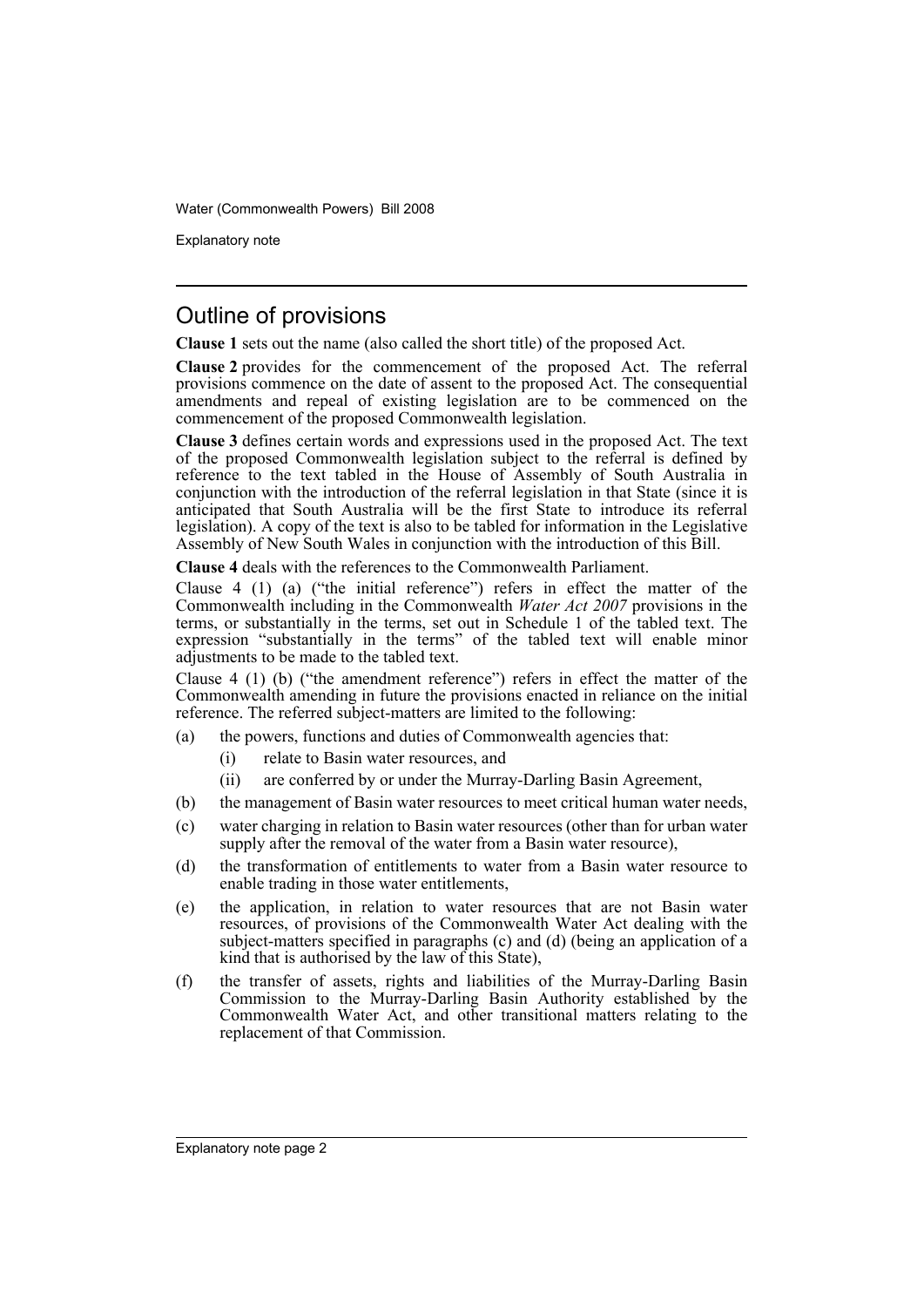Explanatory note

#### Outline of provisions

**Clause 1** sets out the name (also called the short title) of the proposed Act.

**Clause 2** provides for the commencement of the proposed Act. The referral provisions commence on the date of assent to the proposed Act. The consequential amendments and repeal of existing legislation are to be commenced on the commencement of the proposed Commonwealth legislation.

**Clause 3** defines certain words and expressions used in the proposed Act. The text of the proposed Commonwealth legislation subject to the referral is defined by reference to the text tabled in the House of Assembly of South Australia in conjunction with the introduction of the referral legislation in that State (since it is anticipated that South Australia will be the first State to introduce its referral legislation). A copy of the text is also to be tabled for information in the Legislative Assembly of New South Wales in conjunction with the introduction of this Bill.

**Clause 4** deals with the references to the Commonwealth Parliament.

Clause 4 (1) (a) ("the initial reference") refers in effect the matter of the Commonwealth including in the Commonwealth *Water Act 2007* provisions in the terms, or substantially in the terms, set out in Schedule 1 of the tabled text. The expression "substantially in the terms" of the tabled text will enable minor adjustments to be made to the tabled text.

Clause 4 (1) (b) ("the amendment reference") refers in effect the matter of the Commonwealth amending in future the provisions enacted in reliance on the initial reference. The referred subject-matters are limited to the following:

- (a) the powers, functions and duties of Commonwealth agencies that:
	- (i) relate to Basin water resources, and
	- (ii) are conferred by or under the Murray-Darling Basin Agreement,
- (b) the management of Basin water resources to meet critical human water needs,
- (c) water charging in relation to Basin water resources (other than for urban water supply after the removal of the water from a Basin water resource).
- (d) the transformation of entitlements to water from a Basin water resource to enable trading in those water entitlements,
- (e) the application, in relation to water resources that are not Basin water resources, of provisions of the Commonwealth Water Act dealing with the subject-matters specified in paragraphs (c) and (d) (being an application of a kind that is authorised by the law of this State),
- (f) the transfer of assets, rights and liabilities of the Murray-Darling Basin Commission to the Murray-Darling Basin Authority established by the Commonwealth Water Act, and other transitional matters relating to the replacement of that Commission.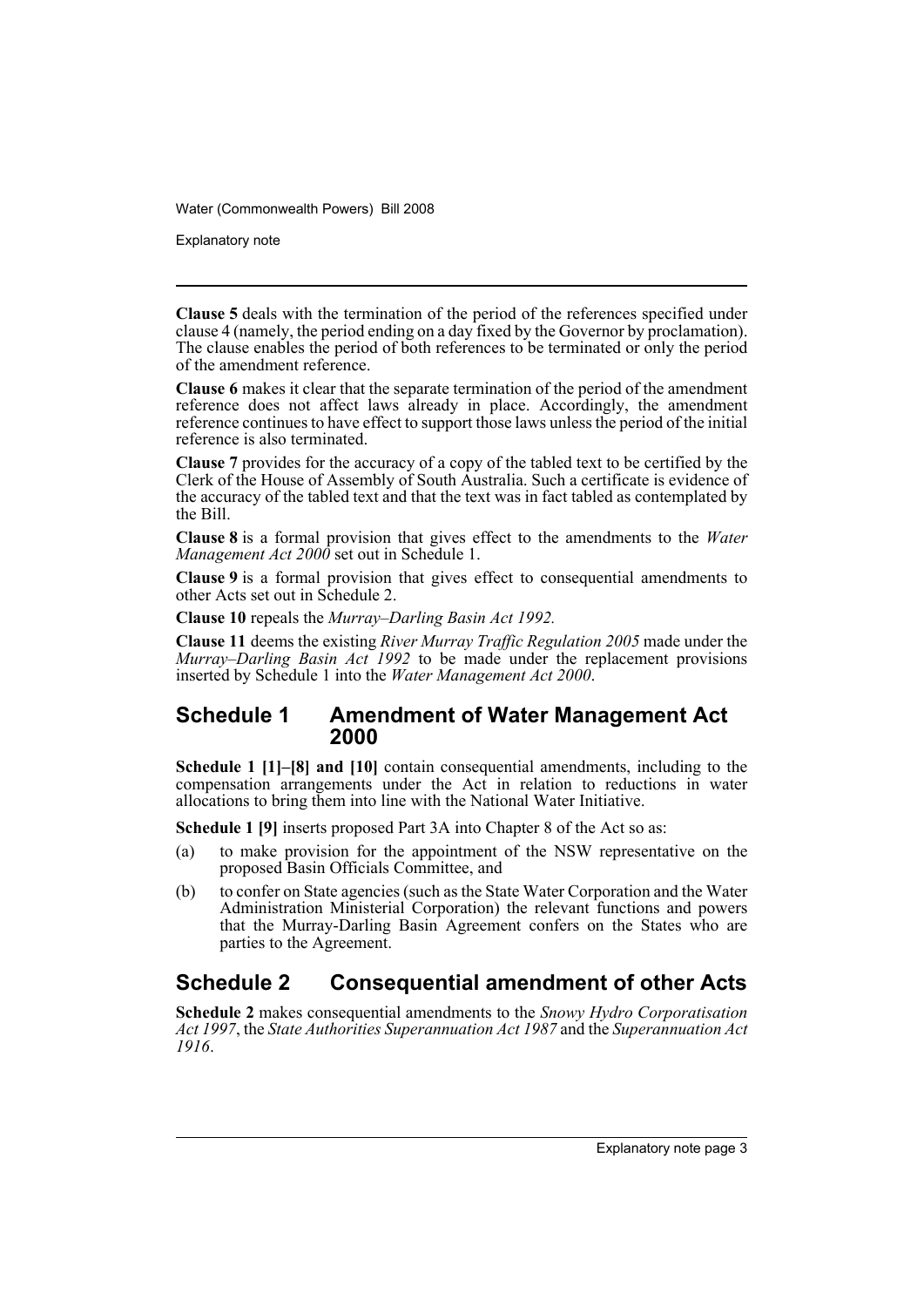Explanatory note

**Clause 5** deals with the termination of the period of the references specified under clause 4 (namely, the period ending on a day fixed by the Governor by proclamation). The clause enables the period of both references to be terminated or only the period of the amendment reference.

**Clause 6** makes it clear that the separate termination of the period of the amendment reference does not affect laws already in place. Accordingly, the amendment reference continues to have effect to support those laws unless the period of the initial reference is also terminated.

**Clause 7** provides for the accuracy of a copy of the tabled text to be certified by the Clerk of the House of Assembly of South Australia. Such a certificate is evidence of the accuracy of the tabled text and that the text was in fact tabled as contemplated by the Bill.

**Clause 8** is a formal provision that gives effect to the amendments to the *Water Management Act 2000* set out in Schedule 1.

**Clause 9** is a formal provision that gives effect to consequential amendments to other Acts set out in Schedule 2.

**Clause 10** repeals the *Murray–Darling Basin Act 1992.*

**Clause 11** deems the existing *River Murray Traffic Regulation 2005* made under the *Murray–Darling Basin Act 1992* to be made under the replacement provisions inserted by Schedule 1 into the *Water Management Act 2000*.

#### **Schedule 1 Amendment of Water Management Act 2000**

**Schedule 1 [1]–[8] and [10]** contain consequential amendments, including to the compensation arrangements under the Act in relation to reductions in water allocations to bring them into line with the National Water Initiative.

**Schedule 1 [9]** inserts proposed Part 3A into Chapter 8 of the Act so as:

- (a) to make provision for the appointment of the NSW representative on the proposed Basin Officials Committee, and
- (b) to confer on State agencies (such as the State Water Corporation and the Water Administration Ministerial Corporation) the relevant functions and powers that the Murray-Darling Basin Agreement confers on the States who are parties to the Agreement.

### **Schedule 2 Consequential amendment of other Acts**

**Schedule 2** makes consequential amendments to the *Snowy Hydro Corporatisation Act 1997*, the *State Authorities Superannuation Act 1987* and the *Superannuation Act 1916*.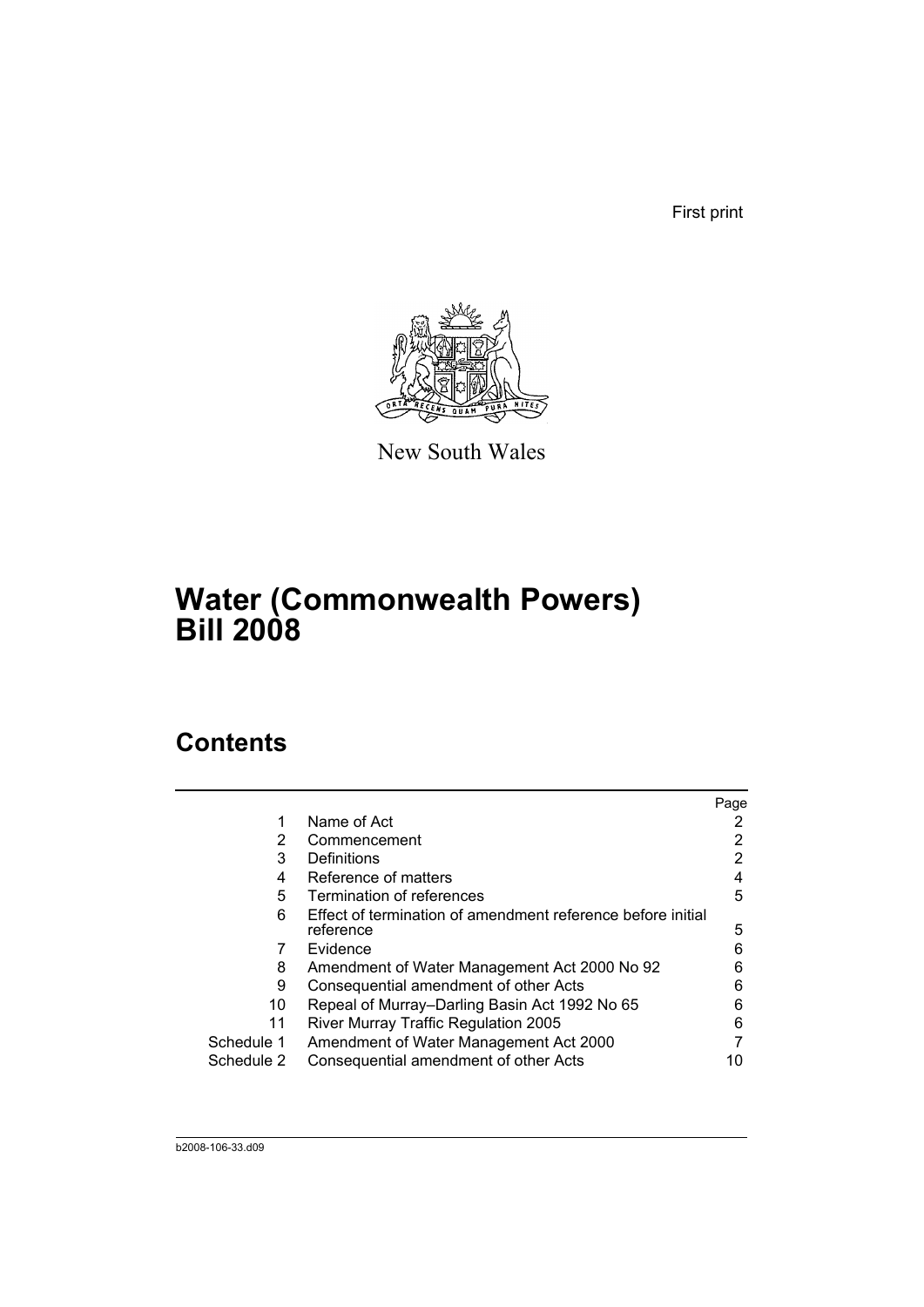First print



New South Wales

## **Water (Commonwealth Powers) Bill 2008**

## **Contents**

|            |                                                             | Page |
|------------|-------------------------------------------------------------|------|
|            | Name of Act                                                 |      |
| 2          | Commencement                                                |      |
| 3          | Definitions                                                 | 2    |
| 4          | Reference of matters                                        |      |
| 5          | Termination of references                                   | 5    |
| 6          | Effect of termination of amendment reference before initial |      |
|            | reference                                                   | 5    |
|            | Evidence                                                    | 6    |
| 8          | Amendment of Water Management Act 2000 No 92                | 6    |
| 9          | Consequential amendment of other Acts                       | 6    |
| 10         | Repeal of Murray-Darling Basin Act 1992 No 65               | 6    |
| 11         | River Murray Traffic Regulation 2005                        | 6    |
| Schedule 1 | Amendment of Water Management Act 2000                      |      |
| Schedule 2 | Consequential amendment of other Acts                       |      |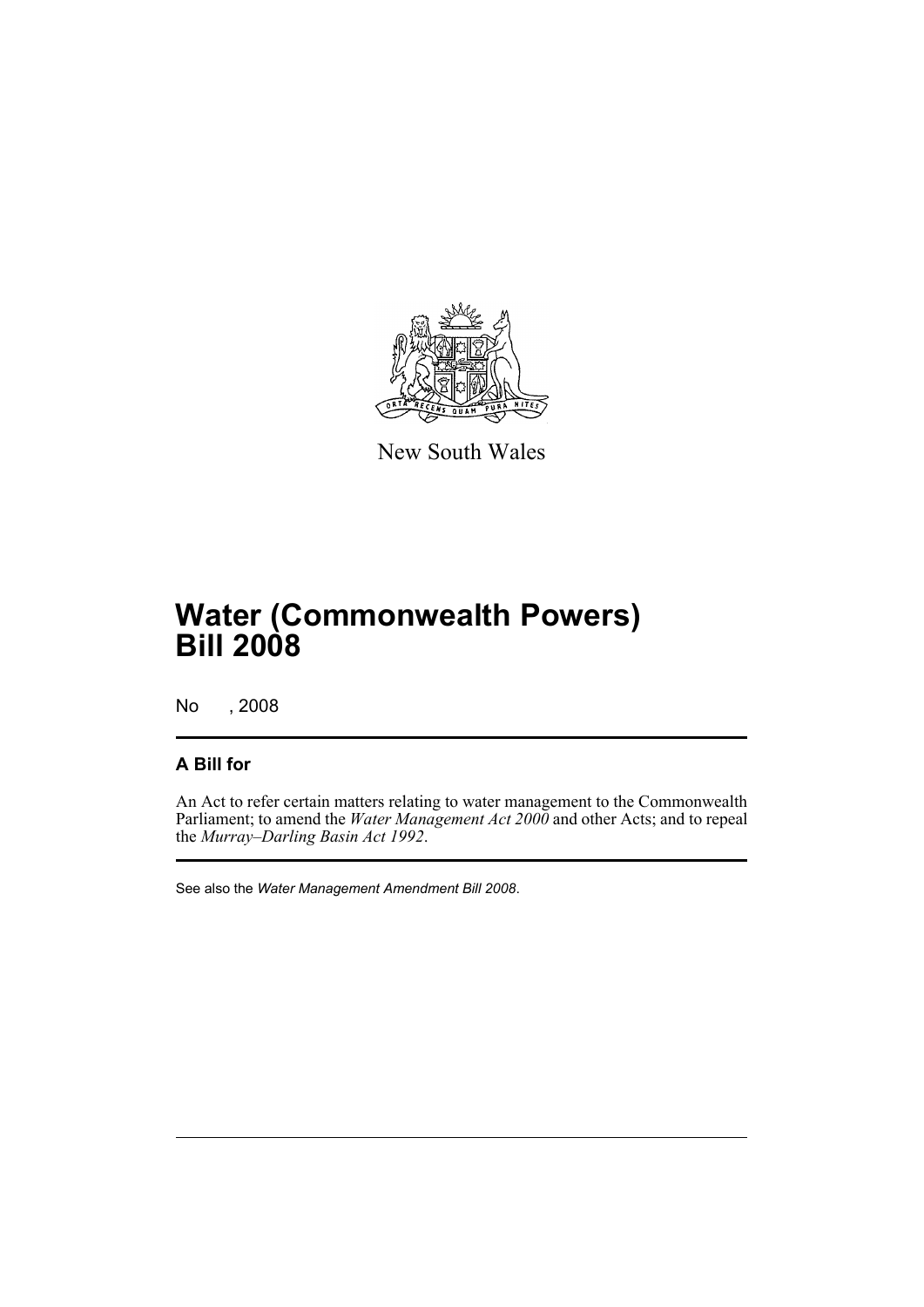

New South Wales

## **Water (Commonwealth Powers) Bill 2008**

No , 2008

#### **A Bill for**

An Act to refer certain matters relating to water management to the Commonwealth Parliament; to amend the *Water Management Act 2000* and other Acts; and to repeal the *Murray–Darling Basin Act 1992*.

See also the *Water Management Amendment Bill 2008*.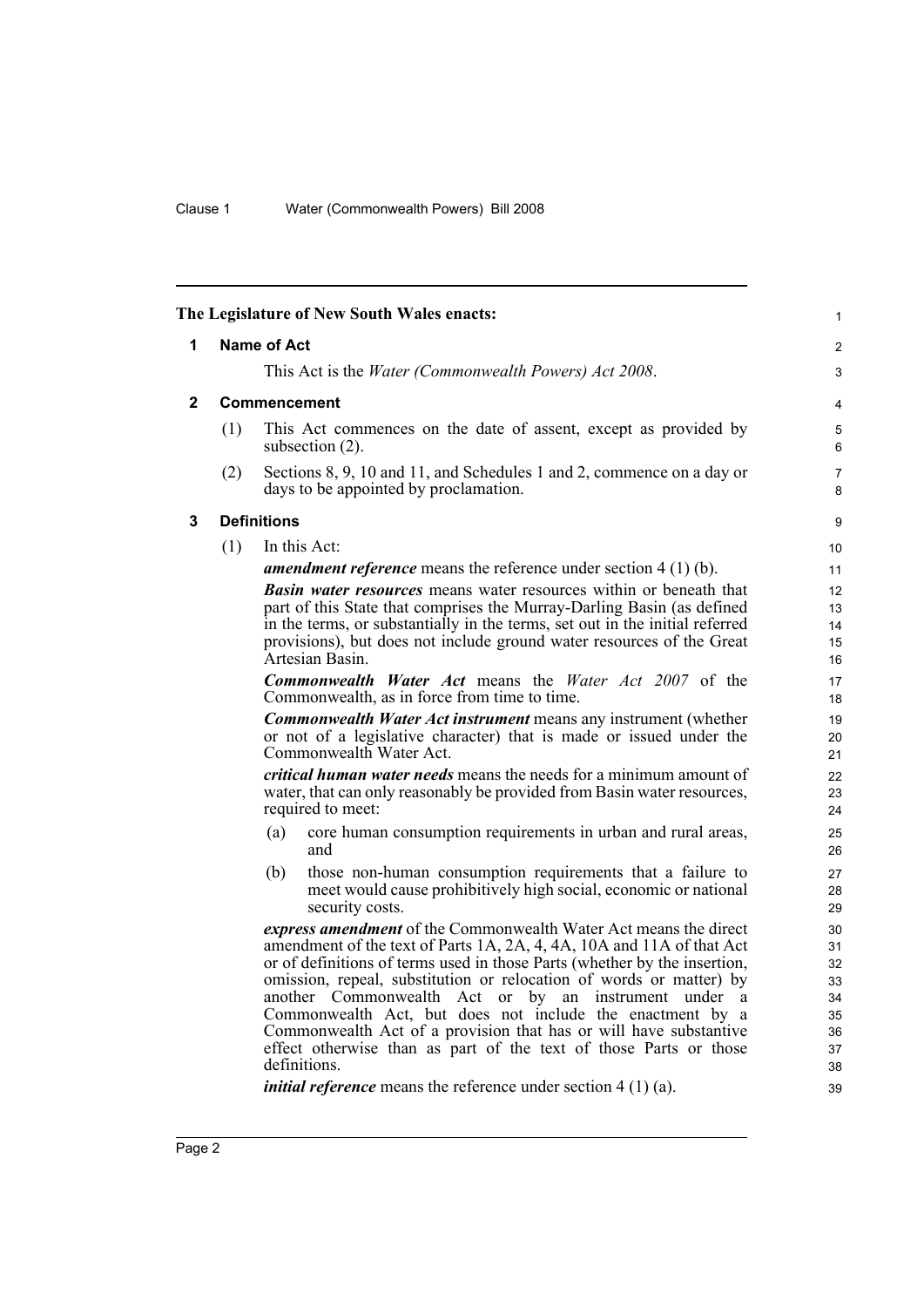<span id="page-7-2"></span><span id="page-7-1"></span><span id="page-7-0"></span>

|              |                                                                                                                                                                                                                                                                                                                                 | The Legislature of New South Wales enacts:                                                                                                                                                                                                                                                                                                                                                                                                                                                                                                                                                                                                                | 1                   |  |  |  |  |
|--------------|---------------------------------------------------------------------------------------------------------------------------------------------------------------------------------------------------------------------------------------------------------------------------------------------------------------------------------|-----------------------------------------------------------------------------------------------------------------------------------------------------------------------------------------------------------------------------------------------------------------------------------------------------------------------------------------------------------------------------------------------------------------------------------------------------------------------------------------------------------------------------------------------------------------------------------------------------------------------------------------------------------|---------------------|--|--|--|--|
| 1            | <b>Name of Act</b>                                                                                                                                                                                                                                                                                                              |                                                                                                                                                                                                                                                                                                                                                                                                                                                                                                                                                                                                                                                           |                     |  |  |  |  |
|              |                                                                                                                                                                                                                                                                                                                                 | This Act is the <i>Water (Commonwealth Powers) Act 2008</i> .                                                                                                                                                                                                                                                                                                                                                                                                                                                                                                                                                                                             | 3                   |  |  |  |  |
| $\mathbf{2}$ |                                                                                                                                                                                                                                                                                                                                 | <b>Commencement</b>                                                                                                                                                                                                                                                                                                                                                                                                                                                                                                                                                                                                                                       | 4                   |  |  |  |  |
|              | (1)                                                                                                                                                                                                                                                                                                                             | This Act commences on the date of assent, except as provided by<br>subsection $(2)$ .                                                                                                                                                                                                                                                                                                                                                                                                                                                                                                                                                                     | 5<br>6              |  |  |  |  |
|              | (2)                                                                                                                                                                                                                                                                                                                             | Sections 8, 9, 10 and 11, and Schedules 1 and 2, commence on a day or<br>days to be appointed by proclamation.                                                                                                                                                                                                                                                                                                                                                                                                                                                                                                                                            | $\overline{7}$<br>8 |  |  |  |  |
| 3            |                                                                                                                                                                                                                                                                                                                                 | <b>Definitions</b>                                                                                                                                                                                                                                                                                                                                                                                                                                                                                                                                                                                                                                        | 9                   |  |  |  |  |
|              | (1)                                                                                                                                                                                                                                                                                                                             | In this Act:                                                                                                                                                                                                                                                                                                                                                                                                                                                                                                                                                                                                                                              | 10                  |  |  |  |  |
|              |                                                                                                                                                                                                                                                                                                                                 | <b>amendment reference</b> means the reference under section $4(1)(b)$ .                                                                                                                                                                                                                                                                                                                                                                                                                                                                                                                                                                                  | 11                  |  |  |  |  |
|              | <b>Basin water resources</b> means water resources within or beneath that<br>part of this State that comprises the Murray-Darling Basin (as defined<br>in the terms, or substantially in the terms, set out in the initial referred<br>provisions), but does not include ground water resources of the Great<br>Artesian Basin. |                                                                                                                                                                                                                                                                                                                                                                                                                                                                                                                                                                                                                                                           |                     |  |  |  |  |
|              |                                                                                                                                                                                                                                                                                                                                 | <b>Commonwealth Water Act means the Water Act 2007 of the</b><br>Commonwealth, as in force from time to time.                                                                                                                                                                                                                                                                                                                                                                                                                                                                                                                                             |                     |  |  |  |  |
|              |                                                                                                                                                                                                                                                                                                                                 | <b>Commonwealth Water Act instrument means any instrument (whether</b><br>or not of a legislative character) that is made or issued under the<br>Commonwealth Water Act.                                                                                                                                                                                                                                                                                                                                                                                                                                                                                  |                     |  |  |  |  |
|              |                                                                                                                                                                                                                                                                                                                                 | <i>critical human water needs</i> means the needs for a minimum amount of<br>water, that can only reasonably be provided from Basin water resources,<br>required to meet:                                                                                                                                                                                                                                                                                                                                                                                                                                                                                 |                     |  |  |  |  |
|              |                                                                                                                                                                                                                                                                                                                                 | core human consumption requirements in urban and rural areas,<br>(a)<br>and                                                                                                                                                                                                                                                                                                                                                                                                                                                                                                                                                                               | 25<br>26            |  |  |  |  |
|              |                                                                                                                                                                                                                                                                                                                                 | those non-human consumption requirements that a failure to<br>(b)<br>meet would cause prohibitively high social, economic or national<br>security costs.                                                                                                                                                                                                                                                                                                                                                                                                                                                                                                  | 27<br>28<br>29      |  |  |  |  |
|              |                                                                                                                                                                                                                                                                                                                                 | express amendment of the Commonwealth Water Act means the direct<br>amendment of the text of Parts 1A, 2A, 4, 4A, 10A and 11A of that Act<br>or of definitions of terms used in those Parts (whether by the insertion,<br>omission, repeal, substitution or relocation of words or matter) by<br>another Commonwealth Act or<br>by an instrument under a<br>Commonwealth Act, but does not include the enactment by a<br>Commonwealth Act of a provision that has or will have substantive<br>effect otherwise than as part of the text of those Parts or those<br>definitions.<br><i>initial reference</i> means the reference under section $4(1)(a)$ . |                     |  |  |  |  |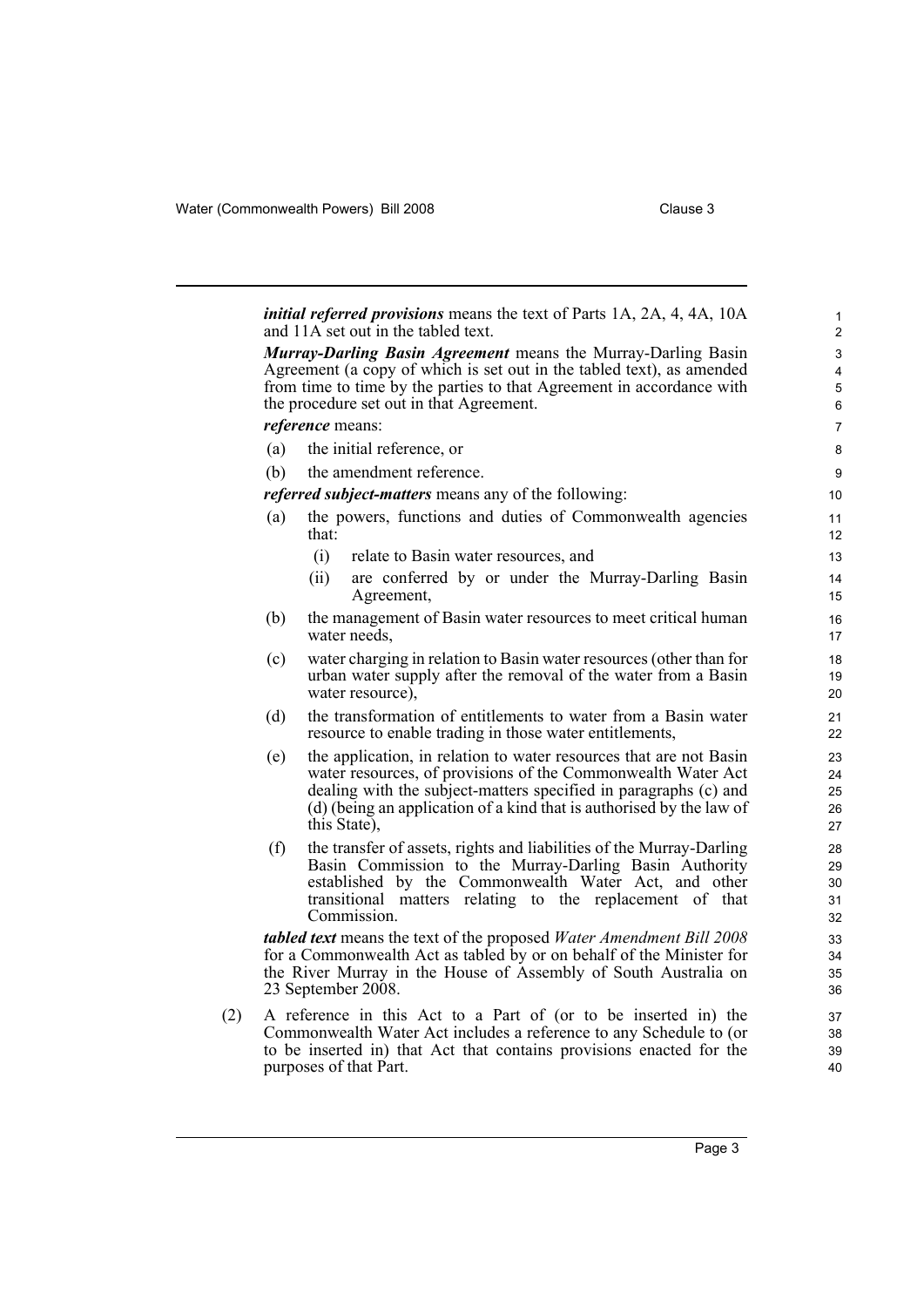|     | <b>Murray-Darling Basin Agreement</b> means the Murray-Darling Basin                                                                                      |  |  |  |
|-----|-----------------------------------------------------------------------------------------------------------------------------------------------------------|--|--|--|
|     | Agreement (a copy of which is set out in the tabled text), as amended                                                                                     |  |  |  |
|     | from time to time by the parties to that Agreement in accordance with<br>the procedure set out in that Agreement.                                         |  |  |  |
|     | reference means:                                                                                                                                          |  |  |  |
| (a) | the initial reference, or                                                                                                                                 |  |  |  |
| (b) | the amendment reference.                                                                                                                                  |  |  |  |
|     | <i>referred subject-matters</i> means any of the following:                                                                                               |  |  |  |
| (a) | the powers, functions and duties of Commonwealth agencies                                                                                                 |  |  |  |
|     | that:                                                                                                                                                     |  |  |  |
|     | (i)<br>relate to Basin water resources, and                                                                                                               |  |  |  |
|     | are conferred by or under the Murray-Darling Basin<br>(ii)<br>Agreement,                                                                                  |  |  |  |
| (b) | the management of Basin water resources to meet critical human<br>water needs,                                                                            |  |  |  |
| (c) | water charging in relation to Basin water resources (other than for<br>urban water supply after the removal of the water from a Basin<br>water resource), |  |  |  |
| (d) | the transformation of entitlements to water from a Basin water<br>resource to enable trading in those water entitlements,                                 |  |  |  |
| (e) | the application, in relation to water resources that are not Basin<br>water resources, of provisions of the Commonwealth Water Act                        |  |  |  |
|     | dealing with the subject-matters specified in paragraphs (c) and                                                                                          |  |  |  |
|     | (d) (being an application of a kind that is authorised by the law of<br>this State).                                                                      |  |  |  |
| (f) | the transfer of assets, rights and liabilities of the Murray-Darling                                                                                      |  |  |  |
|     | Basin Commission to the Murray-Darling Basin Authority<br>established by the Commonwealth Water Act, and other                                            |  |  |  |
|     | transitional matters relating to the replacement of that<br>Commission.                                                                                   |  |  |  |
|     | <i>tabled text</i> means the text of the proposed <i>Water Amendment Bill 2008</i>                                                                        |  |  |  |
|     | for a Commonwealth Act as tabled by or on behalf of the Minister for<br>the River Murray in the House of Assembly of South Australia on                   |  |  |  |
|     | 23 September 2008.                                                                                                                                        |  |  |  |
|     | A reference in this Act to a Part of (or to be inserted in) the                                                                                           |  |  |  |
|     | Commonwealth Water Act includes a reference to any Schedule to (or                                                                                        |  |  |  |
|     | to be inserted in) that Act that contains provisions enacted for the<br>purposes of that Part.                                                            |  |  |  |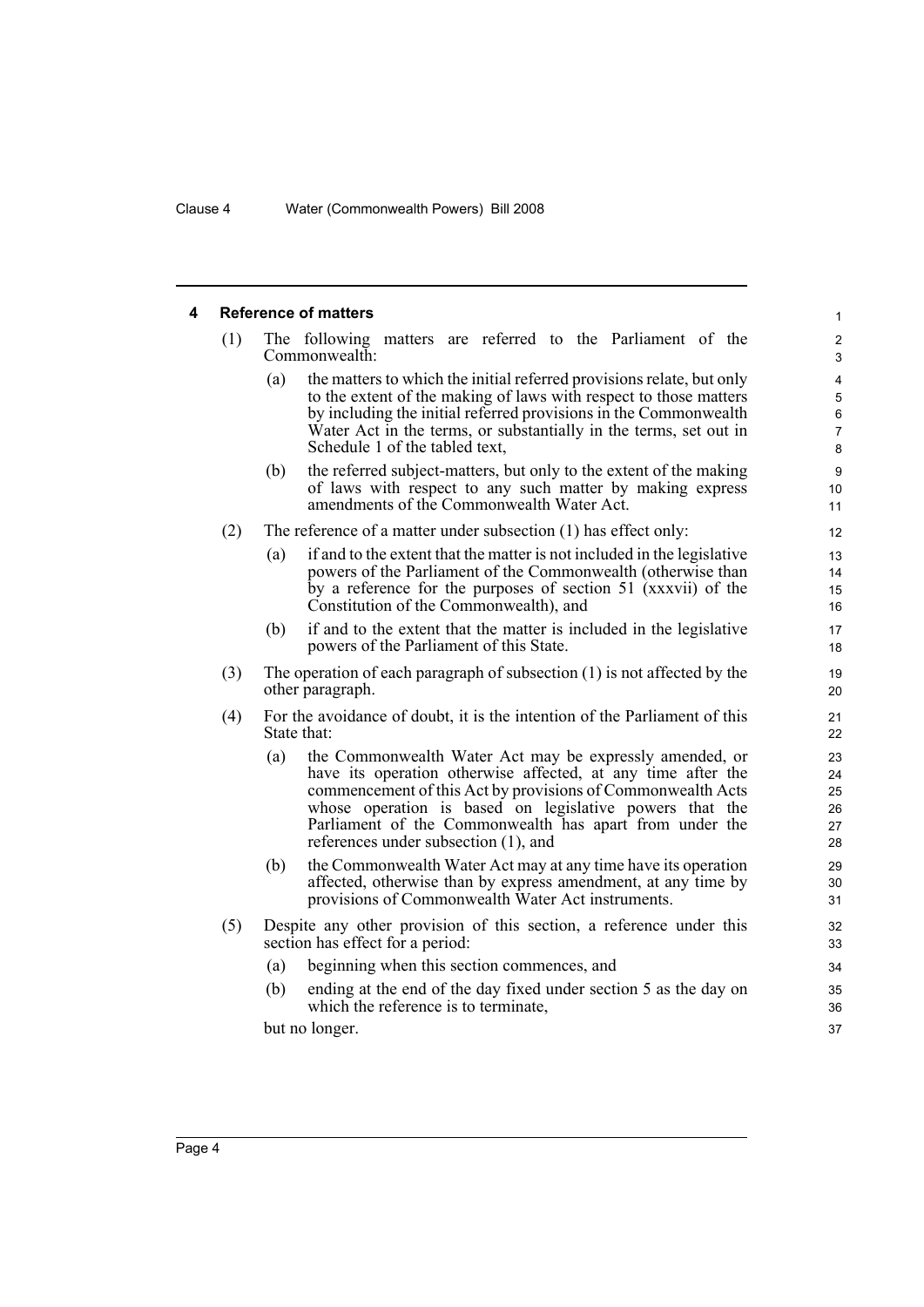#### <span id="page-9-0"></span>**4 Reference of matters** (1) The following matters are referred to the Parliament of the Commonwealth: (a) the matters to which the initial referred provisions relate, but only to the extent of the making of laws with respect to those matters by including the initial referred provisions in the Commonwealth Water Act in the terms, or substantially in the terms, set out in Schedule 1 of the tabled text, (b) the referred subject-matters, but only to the extent of the making of laws with respect to any such matter by making express amendments of the Commonwealth Water Act. (2) The reference of a matter under subsection (1) has effect only: (a) if and to the extent that the matter is not included in the legislative powers of the Parliament of the Commonwealth (otherwise than by a reference for the purposes of section 51 (xxxvii) of the Constitution of the Commonwealth), and (b) if and to the extent that the matter is included in the legislative powers of the Parliament of this State. (3) The operation of each paragraph of subsection (1) is not affected by the other paragraph. (4) For the avoidance of doubt, it is the intention of the Parliament of this State that: (a) the Commonwealth Water Act may be expressly amended, or have its operation otherwise affected, at any time after the commencement of this Act by provisions of Commonwealth Acts whose operation is based on legislative powers that the Parliament of the Commonwealth has apart from under the references under subsection (1), and (b) the Commonwealth Water Act may at any time have its operation affected, otherwise than by express amendment, at any time by provisions of Commonwealth Water Act instruments. (5) Despite any other provision of this section, a reference under this section has effect for a period: (a) beginning when this section commences, and (b) ending at the end of the day fixed under section 5 as the day on which the reference is to terminate, but no longer. 1 2 3 4 5 6 7 8 9 10 11 12 13 14 15 16 17 18 19  $20$ 21 22 23 24 25 26 27 28 29 30 31 32 33 34 35 36 37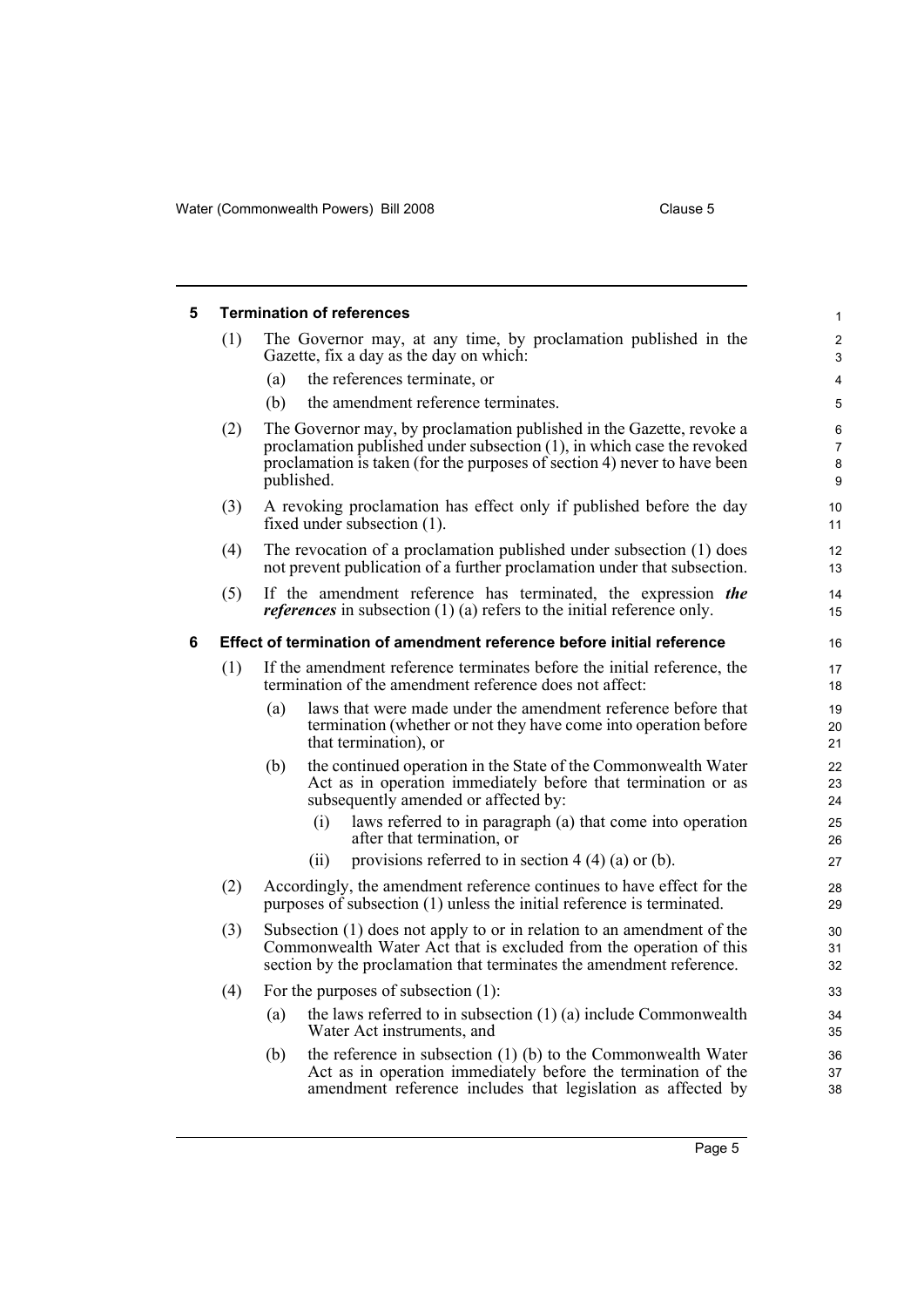<span id="page-10-1"></span><span id="page-10-0"></span>

| 5 | <b>Termination of references</b>                                                                                                                        |                                                                                                                                                                                                                                          |                               |  |  |
|---|---------------------------------------------------------------------------------------------------------------------------------------------------------|------------------------------------------------------------------------------------------------------------------------------------------------------------------------------------------------------------------------------------------|-------------------------------|--|--|
|   | (1)                                                                                                                                                     | The Governor may, at any time, by proclamation published in the<br>Gazette, fix a day as the day on which:                                                                                                                               | $\overline{2}$<br>3           |  |  |
|   |                                                                                                                                                         | the references terminate, or<br>(a)                                                                                                                                                                                                      | $\overline{4}$                |  |  |
|   |                                                                                                                                                         | the amendment reference terminates.<br>(b)                                                                                                                                                                                               | 5                             |  |  |
|   | (2)                                                                                                                                                     | The Governor may, by proclamation published in the Gazette, revoke a<br>proclamation published under subsection (1), in which case the revoked<br>proclamation is taken (for the purposes of section 4) never to have been<br>published. | 6<br>$\overline{7}$<br>8<br>9 |  |  |
|   | (3)                                                                                                                                                     | A revoking proclamation has effect only if published before the day<br>fixed under subsection (1).                                                                                                                                       | 10<br>11                      |  |  |
|   | The revocation of a proclamation published under subsection (1) does<br>(4)<br>not prevent publication of a further proclamation under that subsection. |                                                                                                                                                                                                                                          |                               |  |  |
|   | (5)                                                                                                                                                     | If the amendment reference has terminated, the expression the<br><i>references</i> in subsection $(1)$ $(a)$ refers to the initial reference only.                                                                                       | 14<br>15                      |  |  |
| 6 | Effect of termination of amendment reference before initial reference                                                                                   |                                                                                                                                                                                                                                          |                               |  |  |
|   | (1)                                                                                                                                                     | If the amendment reference terminates before the initial reference, the<br>termination of the amendment reference does not affect:                                                                                                       |                               |  |  |
|   |                                                                                                                                                         | laws that were made under the amendment reference before that<br>(a)<br>termination (whether or not they have come into operation before<br>that termination), or                                                                        | 19<br>20<br>21                |  |  |
|   |                                                                                                                                                         | the continued operation in the State of the Commonwealth Water<br>(b)<br>Act as in operation immediately before that termination or as<br>subsequently amended or affected by:                                                           | 22<br>23<br>24                |  |  |
|   |                                                                                                                                                         | laws referred to in paragraph (a) that come into operation<br>(i)<br>after that termination, or                                                                                                                                          | 25<br>26                      |  |  |
|   |                                                                                                                                                         | provisions referred to in section $4(4)(a)$ or (b).<br>(i)                                                                                                                                                                               | 27                            |  |  |
|   | (2)                                                                                                                                                     | Accordingly, the amendment reference continues to have effect for the<br>purposes of subsection (1) unless the initial reference is terminated.                                                                                          | 28<br>29                      |  |  |
|   | (3)                                                                                                                                                     | Subsection (1) does not apply to or in relation to an amendment of the<br>Commonwealth Water Act that is excluded from the operation of this<br>section by the proclamation that terminates the amendment reference.                     | 30<br>31<br>32                |  |  |
|   | (4)                                                                                                                                                     | For the purposes of subsection (1):                                                                                                                                                                                                      | 33                            |  |  |
|   |                                                                                                                                                         | the laws referred to in subsection $(1)$ $(a)$ include Commonwealth<br>(a)<br>Water Act instruments, and                                                                                                                                 | 34<br>35                      |  |  |
|   |                                                                                                                                                         | the reference in subsection $(1)$ (b) to the Commonwealth Water<br>(b)<br>Act as in operation immediately before the termination of the<br>amendment reference includes that legislation as affected by                                  | 36<br>37<br>38                |  |  |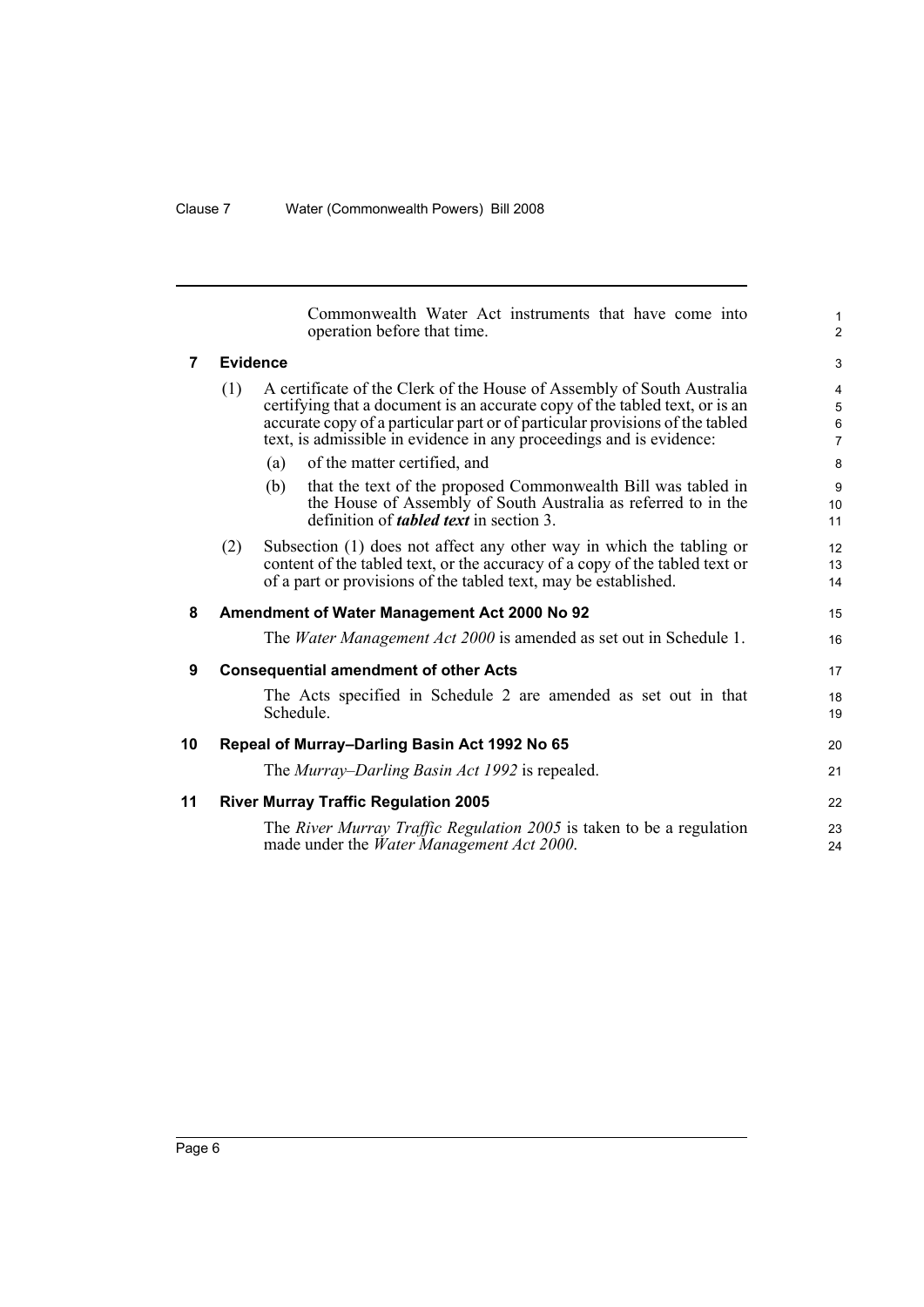<span id="page-11-4"></span><span id="page-11-3"></span><span id="page-11-2"></span><span id="page-11-1"></span><span id="page-11-0"></span>

|                |                                              | Commonwealth Water Act instruments that have come into<br>operation before that time.                                                                                                                                                                                                                        | $\mathbf{1}$<br>$\overline{2}$             |  |  |
|----------------|----------------------------------------------|--------------------------------------------------------------------------------------------------------------------------------------------------------------------------------------------------------------------------------------------------------------------------------------------------------------|--------------------------------------------|--|--|
| $\overline{7}$ | <b>Evidence</b>                              |                                                                                                                                                                                                                                                                                                              |                                            |  |  |
|                | (1)                                          | A certificate of the Clerk of the House of Assembly of South Australia<br>certifying that a document is an accurate copy of the tabled text, or is an<br>accurate copy of a particular part or of particular provisions of the tabled<br>text, is admissible in evidence in any proceedings and is evidence: | $\overline{4}$<br>5<br>6<br>$\overline{7}$ |  |  |
|                |                                              | of the matter certified, and<br>(a)                                                                                                                                                                                                                                                                          | 8                                          |  |  |
|                |                                              | that the text of the proposed Commonwealth Bill was tabled in<br>(b)<br>the House of Assembly of South Australia as referred to in the<br>definition of <i>tabled text</i> in section 3.                                                                                                                     | 9<br>10<br>11                              |  |  |
|                | (2)                                          | Subsection (1) does not affect any other way in which the tabling or<br>content of the tabled text, or the accuracy of a copy of the tabled text or<br>of a part or provisions of the tabled text, may be established.                                                                                       | 12<br>13<br>14                             |  |  |
| 8              | Amendment of Water Management Act 2000 No 92 |                                                                                                                                                                                                                                                                                                              |                                            |  |  |
|                |                                              | The <i>Water Management Act 2000</i> is amended as set out in Schedule 1.                                                                                                                                                                                                                                    | 16                                         |  |  |
| 9              | <b>Consequential amendment of other Acts</b> |                                                                                                                                                                                                                                                                                                              |                                            |  |  |
|                |                                              | The Acts specified in Schedule 2 are amended as set out in that<br>Schedule.                                                                                                                                                                                                                                 | 18<br>19                                   |  |  |
| 10             |                                              | Repeal of Murray-Darling Basin Act 1992 No 65                                                                                                                                                                                                                                                                | 20                                         |  |  |
|                |                                              | The <i>Murray–Darling Basin Act 1992</i> is repealed.                                                                                                                                                                                                                                                        | 21                                         |  |  |
| 11             |                                              | <b>River Murray Traffic Regulation 2005</b>                                                                                                                                                                                                                                                                  | 22                                         |  |  |
|                |                                              | The River Murray Traffic Regulation 2005 is taken to be a regulation<br>made under the <i>Water Management Act 2000</i> .                                                                                                                                                                                    | 23<br>24                                   |  |  |
|                |                                              |                                                                                                                                                                                                                                                                                                              |                                            |  |  |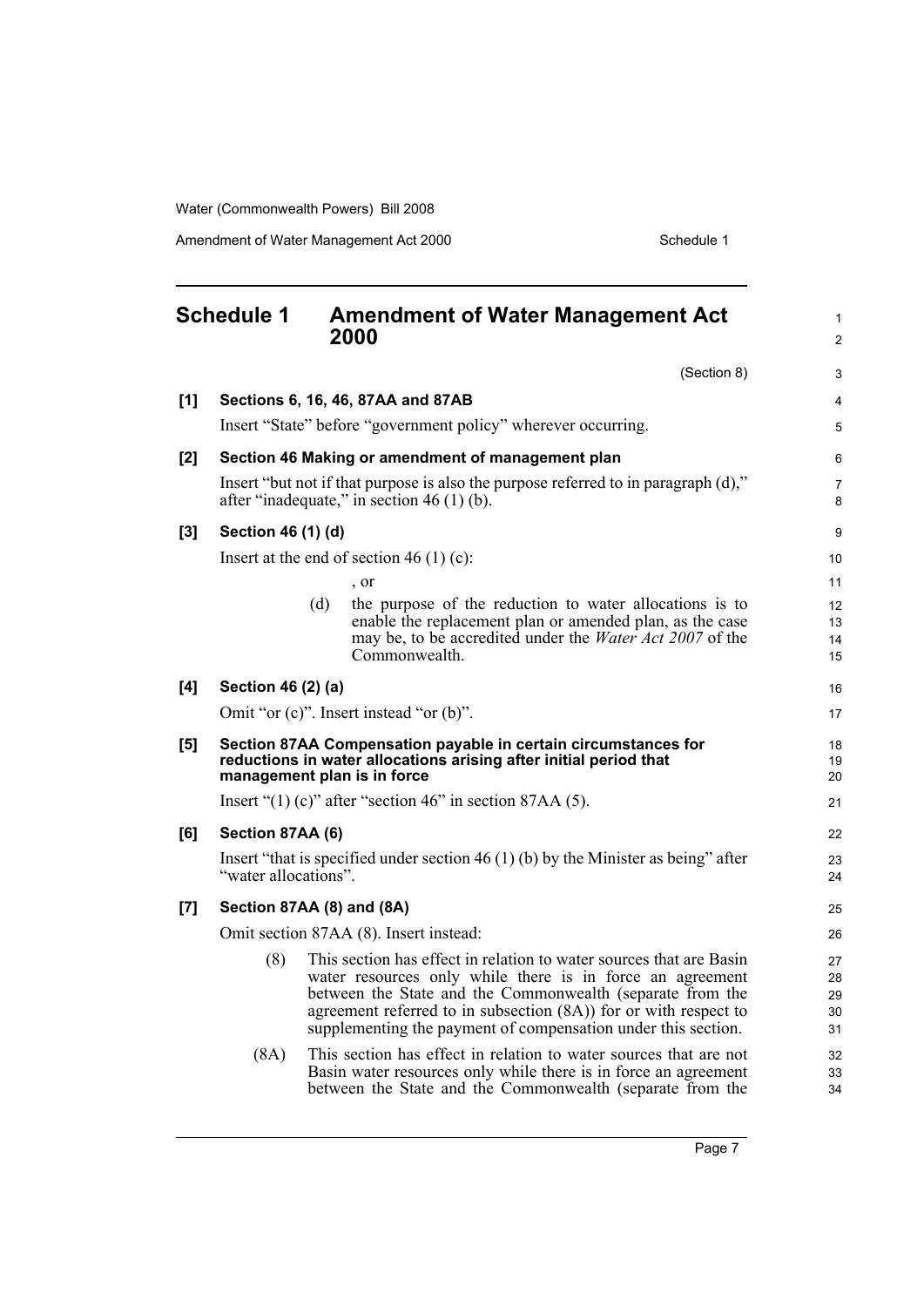Amendment of Water Management Act 2000 Schedule 1

<span id="page-12-0"></span>

|                    | <b>Schedule 1</b>                                                                                                                                                  |     | <b>Amendment of Water Management Act</b><br>2000                                                                                                                                                                                                                                                                                   | $\mathbf{1}$<br>$\overline{2}$ |
|--------------------|--------------------------------------------------------------------------------------------------------------------------------------------------------------------|-----|------------------------------------------------------------------------------------------------------------------------------------------------------------------------------------------------------------------------------------------------------------------------------------------------------------------------------------|--------------------------------|
|                    |                                                                                                                                                                    |     | (Section 8)                                                                                                                                                                                                                                                                                                                        | 3                              |
| [1]                |                                                                                                                                                                    |     | Sections 6, 16, 46, 87AA and 87AB                                                                                                                                                                                                                                                                                                  | 4                              |
|                    |                                                                                                                                                                    |     | Insert "State" before "government policy" wherever occurring.                                                                                                                                                                                                                                                                      | 5                              |
| $[2]$              |                                                                                                                                                                    |     | Section 46 Making or amendment of management plan                                                                                                                                                                                                                                                                                  | 6                              |
|                    |                                                                                                                                                                    |     | Insert "but not if that purpose is also the purpose referred to in paragraph (d),"<br>after "inadequate," in section $46(1)(b)$ .                                                                                                                                                                                                  | 7<br>8                         |
| $[3]$              | Section 46 (1) (d)                                                                                                                                                 |     |                                                                                                                                                                                                                                                                                                                                    | 9                              |
|                    |                                                                                                                                                                    |     | Insert at the end of section 46 (1) (c):                                                                                                                                                                                                                                                                                           | 10                             |
|                    |                                                                                                                                                                    |     | , or                                                                                                                                                                                                                                                                                                                               | 11                             |
|                    |                                                                                                                                                                    | (d) | the purpose of the reduction to water allocations is to                                                                                                                                                                                                                                                                            | 12                             |
|                    |                                                                                                                                                                    |     | enable the replacement plan or amended plan, as the case<br>may be, to be accredited under the <i>Water Act 2007</i> of the                                                                                                                                                                                                        | 13<br>14                       |
|                    |                                                                                                                                                                    |     | Commonwealth.                                                                                                                                                                                                                                                                                                                      | 15                             |
| [4]                | Section 46 (2) (a)                                                                                                                                                 |     |                                                                                                                                                                                                                                                                                                                                    | 16                             |
|                    |                                                                                                                                                                    |     | Omit "or $(c)$ ". Insert instead "or $(b)$ ".                                                                                                                                                                                                                                                                                      | 17                             |
| [5]                | Section 87AA Compensation payable in certain circumstances for<br>reductions in water allocations arising after initial period that<br>management plan is in force |     |                                                                                                                                                                                                                                                                                                                                    |                                |
|                    |                                                                                                                                                                    |     | Insert " $(1)$ (c)" after "section 46" in section 87AA (5).                                                                                                                                                                                                                                                                        | 21                             |
| [6]                | Section 87AA (6)                                                                                                                                                   |     |                                                                                                                                                                                                                                                                                                                                    | 22                             |
|                    | "water allocations".                                                                                                                                               |     | Insert "that is specified under section 46 (1) (b) by the Minister as being" after                                                                                                                                                                                                                                                 | 23<br>24                       |
| $\left[ 7 \right]$ | Section 87AA (8) and (8A)                                                                                                                                          |     |                                                                                                                                                                                                                                                                                                                                    | 25                             |
|                    |                                                                                                                                                                    |     | Omit section 87AA (8). Insert instead:                                                                                                                                                                                                                                                                                             | 26                             |
|                    | (8)                                                                                                                                                                |     | This section has effect in relation to water sources that are Basin<br>water resources only while there is in force an agreement<br>between the State and the Commonwealth (separate from the<br>agreement referred to in subsection (8A)) for or with respect to<br>supplementing the payment of compensation under this section. | 27<br>28<br>29<br>30<br>31     |
|                    | (8A)                                                                                                                                                               |     | This section has effect in relation to water sources that are not<br>Basin water resources only while there is in force an agreement<br>between the State and the Commonwealth (separate from the                                                                                                                                  | 32<br>33<br>34                 |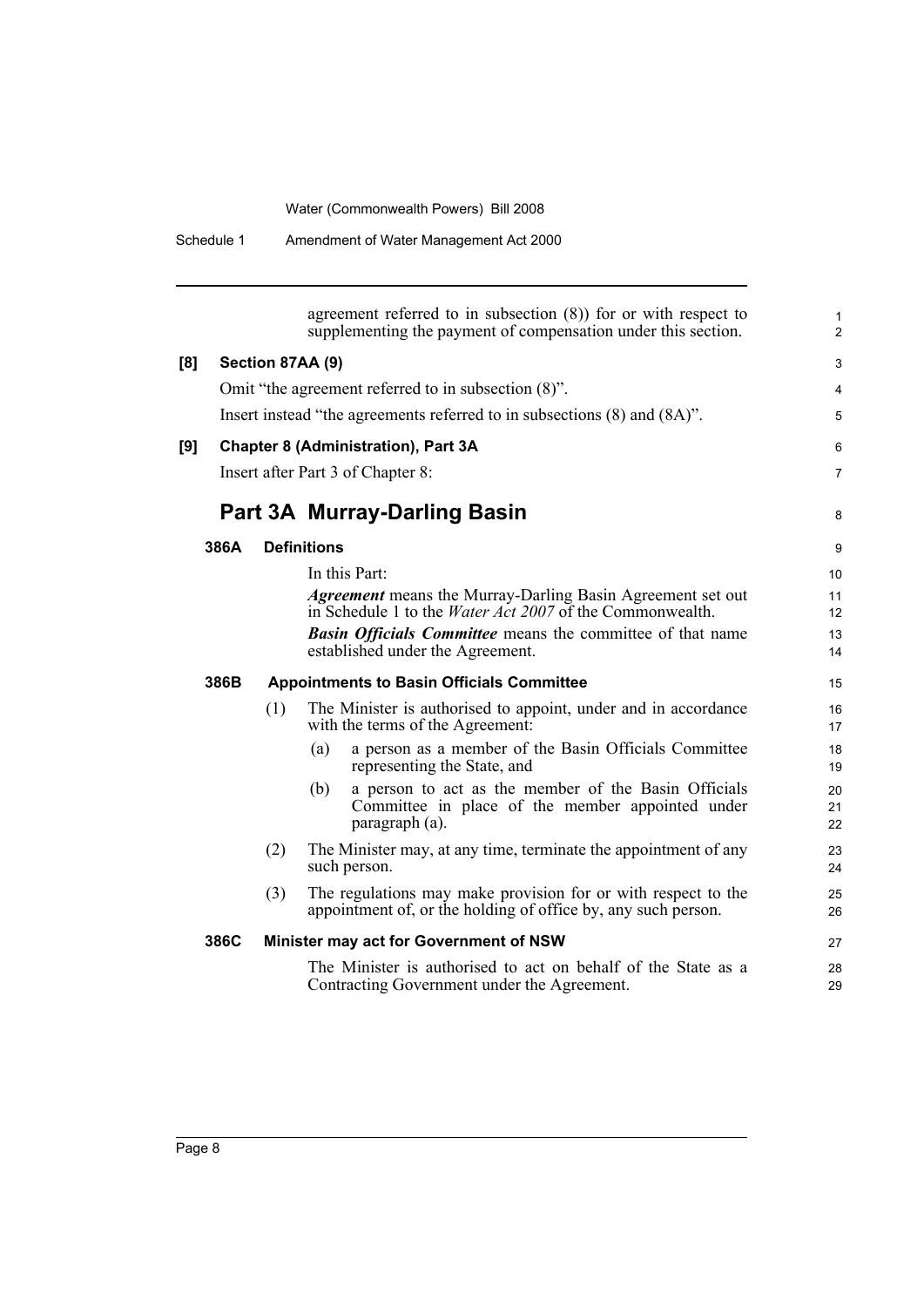Schedule 1 Amendment of Water Management Act 2000

|     |                  |     | agreement referred to in subsection $(8)$ ) for or with respect to<br>supplementing the payment of compensation under this section.  | 1<br>$\overline{2}$ |  |  |  |
|-----|------------------|-----|--------------------------------------------------------------------------------------------------------------------------------------|---------------------|--|--|--|
| [8] | Section 87AA (9) |     |                                                                                                                                      |                     |  |  |  |
|     |                  |     | Omit "the agreement referred to in subsection (8)".                                                                                  | 4                   |  |  |  |
|     |                  |     | Insert instead "the agreements referred to in subsections (8) and (8A)".                                                             | 5                   |  |  |  |
| [9] |                  |     | <b>Chapter 8 (Administration), Part 3A</b>                                                                                           | 6                   |  |  |  |
|     |                  |     | Insert after Part 3 of Chapter 8:                                                                                                    | $\overline{7}$      |  |  |  |
|     |                  |     | Part 3A Murray-Darling Basin                                                                                                         | 8                   |  |  |  |
|     | 386A             |     | <b>Definitions</b>                                                                                                                   | 9                   |  |  |  |
|     |                  |     | In this Part:                                                                                                                        | 10                  |  |  |  |
|     |                  |     | <b>Agreement</b> means the Murray-Darling Basin Agreement set out<br>in Schedule 1 to the <i>Water Act 2007</i> of the Commonwealth. | 11<br>12            |  |  |  |
|     |                  |     | <b>Basin Officials Committee</b> means the committee of that name<br>established under the Agreement.                                | 13<br>14            |  |  |  |
|     | 386B             |     | <b>Appointments to Basin Officials Committee</b>                                                                                     | 15                  |  |  |  |
|     |                  | (1) | The Minister is authorised to appoint, under and in accordance<br>with the terms of the Agreement:                                   | 16<br>17            |  |  |  |
|     |                  |     | a person as a member of the Basin Officials Committee<br>(a)<br>representing the State, and                                          | 18<br>19            |  |  |  |
|     |                  |     | a person to act as the member of the Basin Officials<br>(b)<br>Committee in place of the member appointed under<br>paragraph (a).    | 20<br>21<br>22      |  |  |  |
|     |                  | (2) | The Minister may, at any time, terminate the appointment of any<br>such person.                                                      | 23<br>24            |  |  |  |
|     |                  | (3) | The regulations may make provision for or with respect to the<br>appointment of, or the holding of office by, any such person.       | 25<br>26            |  |  |  |
|     | 386C             |     | Minister may act for Government of NSW                                                                                               | 27                  |  |  |  |
|     |                  |     | The Minister is authorised to act on behalf of the State as a<br>Contracting Government under the Agreement.                         | 28<br>29            |  |  |  |
|     |                  |     |                                                                                                                                      |                     |  |  |  |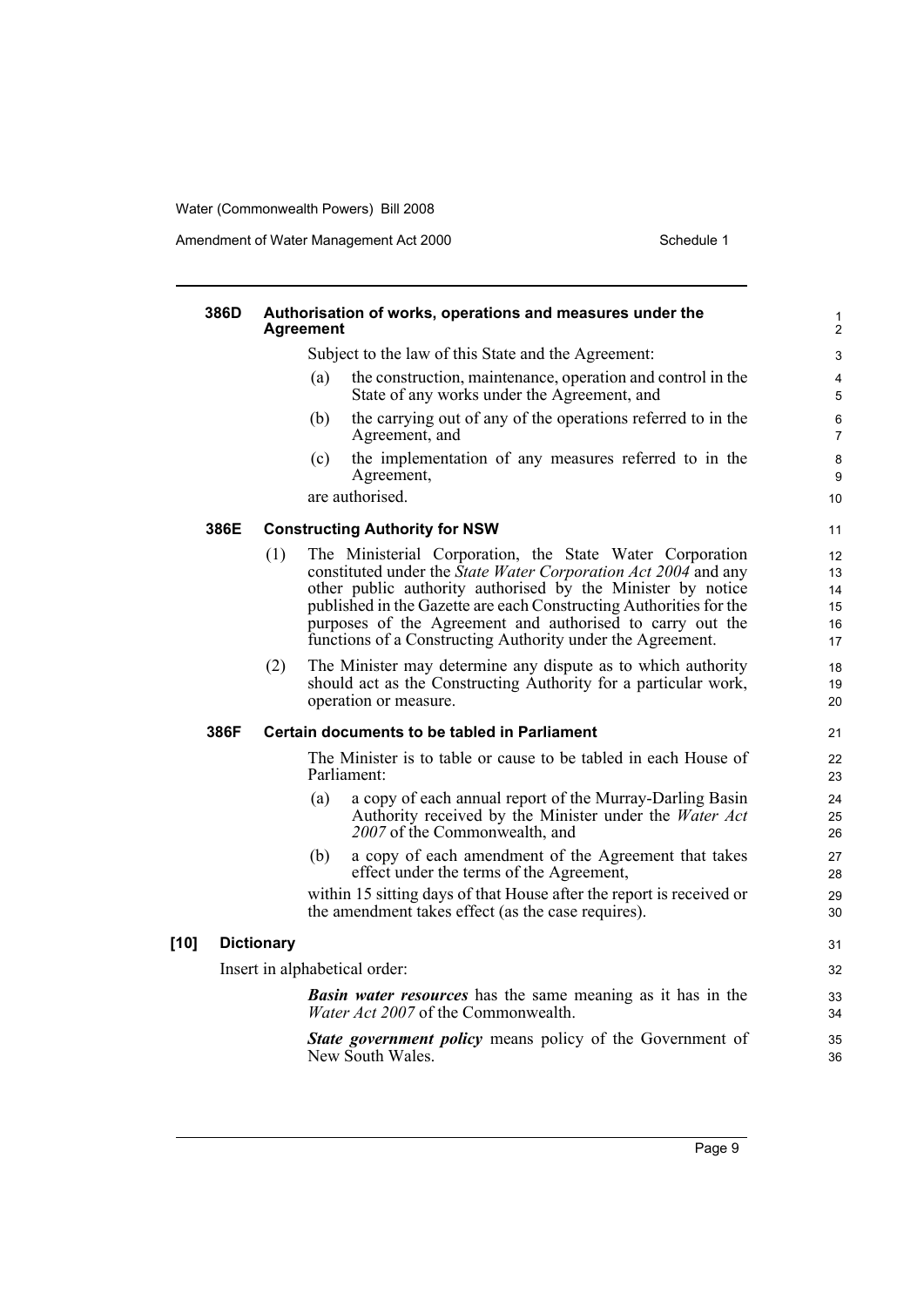Amendment of Water Management Act 2000 Schedule 1

| 386D                                                                                 |                                                                                                           |                   | Authorisation of works, operations and measures under the<br>Agreement                                                                                                                                                                                                                                                                                                                            | $\mathbf{1}$<br>$\overline{2}$   |
|--------------------------------------------------------------------------------------|-----------------------------------------------------------------------------------------------------------|-------------------|---------------------------------------------------------------------------------------------------------------------------------------------------------------------------------------------------------------------------------------------------------------------------------------------------------------------------------------------------------------------------------------------------|----------------------------------|
|                                                                                      |                                                                                                           |                   | Subject to the law of this State and the Agreement:                                                                                                                                                                                                                                                                                                                                               | $\mathsf 3$                      |
|                                                                                      |                                                                                                           |                   | the construction, maintenance, operation and control in the<br>(a)<br>State of any works under the Agreement, and                                                                                                                                                                                                                                                                                 | $\overline{4}$<br>5              |
|                                                                                      |                                                                                                           |                   | the carrying out of any of the operations referred to in the<br>(b)<br>Agreement, and                                                                                                                                                                                                                                                                                                             | 6<br>$\overline{7}$              |
|                                                                                      |                                                                                                           |                   | the implementation of any measures referred to in the<br>(c)<br>Agreement,                                                                                                                                                                                                                                                                                                                        | 8<br>9                           |
|                                                                                      |                                                                                                           |                   | are authorised.                                                                                                                                                                                                                                                                                                                                                                                   | 10                               |
|                                                                                      | 386E                                                                                                      |                   | <b>Constructing Authority for NSW</b>                                                                                                                                                                                                                                                                                                                                                             | 11                               |
|                                                                                      |                                                                                                           | (1)               | The Ministerial Corporation, the State Water Corporation<br>constituted under the <i>State Water Corporation Act 2004</i> and any<br>other public authority authorised by the Minister by notice<br>published in the Gazette are each Constructing Authorities for the<br>purposes of the Agreement and authorised to carry out the<br>functions of a Constructing Authority under the Agreement. | 12<br>13<br>14<br>15<br>16<br>17 |
|                                                                                      |                                                                                                           | (2)               | The Minister may determine any dispute as to which authority<br>should act as the Constructing Authority for a particular work,<br>operation or measure.                                                                                                                                                                                                                                          | 18<br>19<br>20                   |
|                                                                                      | 386F                                                                                                      |                   | Certain documents to be tabled in Parliament                                                                                                                                                                                                                                                                                                                                                      | 21                               |
|                                                                                      |                                                                                                           |                   | The Minister is to table or cause to be tabled in each House of<br>Parliament:                                                                                                                                                                                                                                                                                                                    | 22<br>23                         |
|                                                                                      |                                                                                                           |                   | a copy of each annual report of the Murray-Darling Basin<br>(a)<br>Authority received by the Minister under the Water Act<br>2007 of the Commonwealth, and                                                                                                                                                                                                                                        | 24<br>25<br>26                   |
|                                                                                      |                                                                                                           |                   | a copy of each amendment of the Agreement that takes<br>(b)<br>effect under the terms of the Agreement,                                                                                                                                                                                                                                                                                           | 27<br>28                         |
|                                                                                      |                                                                                                           |                   | within 15 sitting days of that House after the report is received or<br>the amendment takes effect (as the case requires).                                                                                                                                                                                                                                                                        | 29<br>30                         |
| $[10]$                                                                               |                                                                                                           | <b>Dictionary</b> |                                                                                                                                                                                                                                                                                                                                                                                                   | 31                               |
|                                                                                      |                                                                                                           |                   | Insert in alphabetical order:                                                                                                                                                                                                                                                                                                                                                                     | 32                               |
|                                                                                      | <b>Basin water resources</b> has the same meaning as it has in the<br>Water Act 2007 of the Commonwealth. |                   |                                                                                                                                                                                                                                                                                                                                                                                                   | 33<br>34                         |
| <b>State government policy means policy of the Government of</b><br>New South Wales. |                                                                                                           |                   |                                                                                                                                                                                                                                                                                                                                                                                                   | 35<br>36                         |